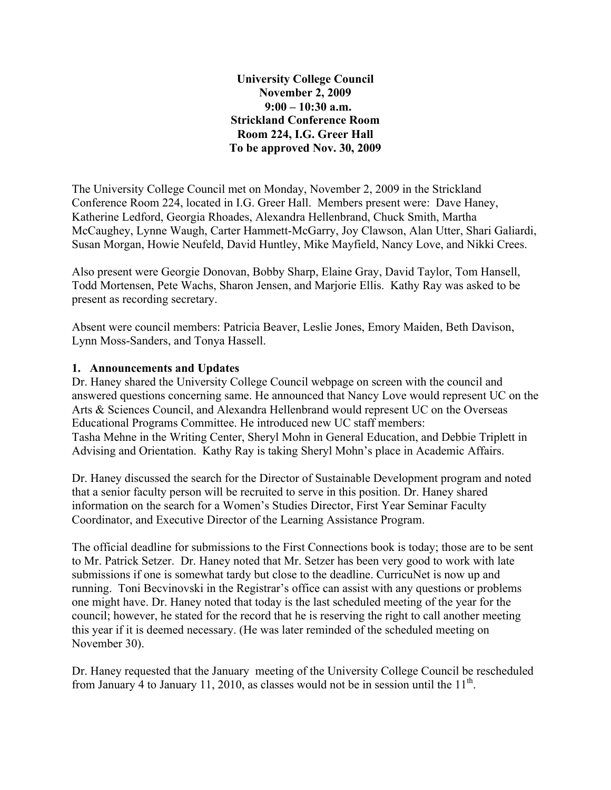**University College Council November 2, 2009 9:00 – 10:30 a.m. Strickland Conference Room Room 224, I.G. Greer Hall To be approved Nov. 30, 2009**

The University College Council met on Monday, November 2, 2009 in the Strickland Conference Room 224, located in I.G. Greer Hall. Members present were: Dave Haney, Katherine Ledford, Georgia Rhoades, Alexandra Hellenbrand, Chuck Smith, Martha McCaughey, Lynne Waugh, Carter Hammett-McGarry, Joy Clawson, Alan Utter, Shari Galiardi, Susan Morgan, Howie Neufeld, David Huntley, Mike Mayfield, Nancy Love, and Nikki Crees.

Also present were Georgie Donovan, Bobby Sharp, Elaine Gray, David Taylor, Tom Hansell, Todd Mortensen, Pete Wachs, Sharon Jensen, and Marjorie Ellis. Kathy Ray was asked to be present as recording secretary.

Absent were council members: Patricia Beaver, Leslie Jones, Emory Maiden, Beth Davison, Lynn Moss-Sanders, and Tonya Hassell.

## **1. Announcements and Updates**

Dr. Haney shared the University College Council webpage on screen with the council and answered questions concerning same. He announced that Nancy Love would represent UC on the Arts & Sciences Council, and Alexandra Hellenbrand would represent UC on the Overseas Educational Programs Committee. He introduced new UC staff members: Tasha Mehne in the Writing Center, Sheryl Mohn in General Education, and Debbie Triplett in Advising and Orientation. Kathy Ray is taking Sheryl Mohn's place in Academic Affairs.

Dr. Haney discussed the search for the Director of Sustainable Development program and noted that a senior faculty person will be recruited to serve in this position. Dr. Haney shared information on the search for a Women's Studies Director, First Year Seminar Faculty Coordinator, and Executive Director of the Learning Assistance Program.

The official deadline for submissions to the First Connections book is today; those are to be sent to Mr. Patrick Setzer. Dr. Haney noted that Mr. Setzer has been very good to work with late submissions if one is somewhat tardy but close to the deadline. CurricuNet is now up and running. Toni Becvinovski in the Registrar's office can assist with any questions or problems one might have. Dr. Haney noted that today is the last scheduled meeting of the year for the council; however, he stated for the record that he is reserving the right to call another meeting this year if it is deemed necessary. (He was later reminded of the scheduled meeting on November 30).

Dr. Haney requested that the January meeting of the University College Council be rescheduled from January 4 to January 11, 2010, as classes would not be in session until the  $11<sup>th</sup>$ .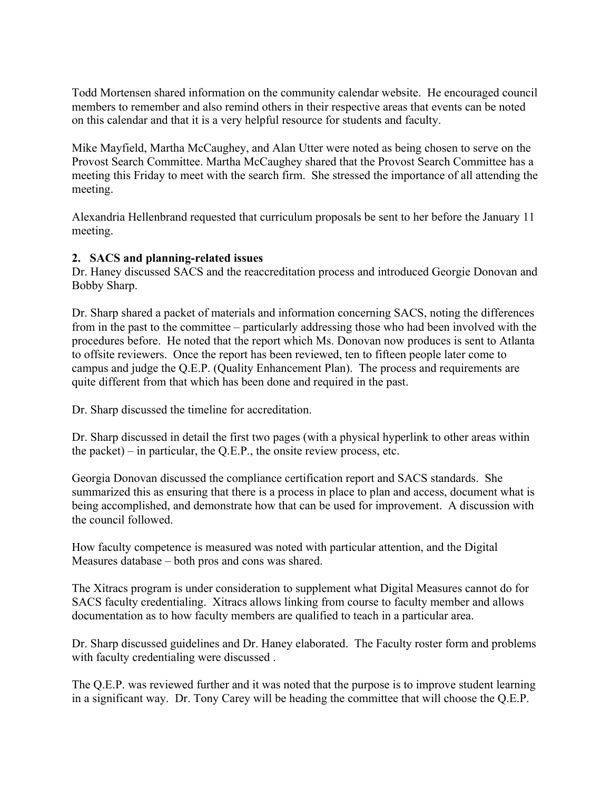Todd Mortensen shared information on the community calendar website. He encouraged council members to remember and also remind others in their respective areas that events can be noted on this calendar and that it is a very helpful resource for students and faculty.

Mike Mayfield, Martha McCaughey, and Alan Utter were noted as being chosen to serve on the Provost Search Committee. Martha McCaughey shared that the Provost Search Committee has a meeting this Friday to meet with the search firm. She stressed the importance of all attending the meeting.

Alexandria Hellenbrand requested that curriculum proposals be sent to her before the January 11 meeting.

## **2. SACS and planning-related issues**

Dr. Haney discussed SACS and the reaccreditation process and introduced Georgie Donovan and Bobby Sharp.

Dr. Sharp shared a packet of materials and information concerning SACS, noting the differences from in the past to the committee – particularly addressing those who had been involved with the procedures before. He noted that the report which Ms. Donovan now produces is sent to Atlanta to offsite reviewers. Once the report has been reviewed, ten to fifteen people later come to campus and judge the Q.E.P. (Quality Enhancement Plan). The process and requirements are quite different from that which has been done and required in the past.

Dr. Sharp discussed the timeline for accreditation.

Dr. Sharp discussed in detail the first two pages (with a physical hyperlink to other areas within the packet) – in particular, the Q.E.P., the onsite review process, etc.

Georgia Donovan discussed the compliance certification report and SACS standards. She summarized this as ensuring that there is a process in place to plan and access, document what is being accomplished, and demonstrate how that can be used for improvement. A discussion with the council followed.

How faculty competence is measured was noted with particular attention, and the Digital Measures database – both pros and cons was shared.

The Xitracs program is under consideration to supplement what Digital Measures cannot do for SACS faculty credentialing. Xitracs allows linking from course to faculty member and allows documentation as to how faculty members are qualified to teach in a particular area.

Dr. Sharp discussed guidelines and Dr. Haney elaborated. The Faculty roster form and problems with faculty credentialing were discussed.

The Q.E.P. was reviewed further and it was noted that the purpose is to improve student learning in a significant way. Dr. Tony Carey will be heading the committee that will choose the Q.E.P.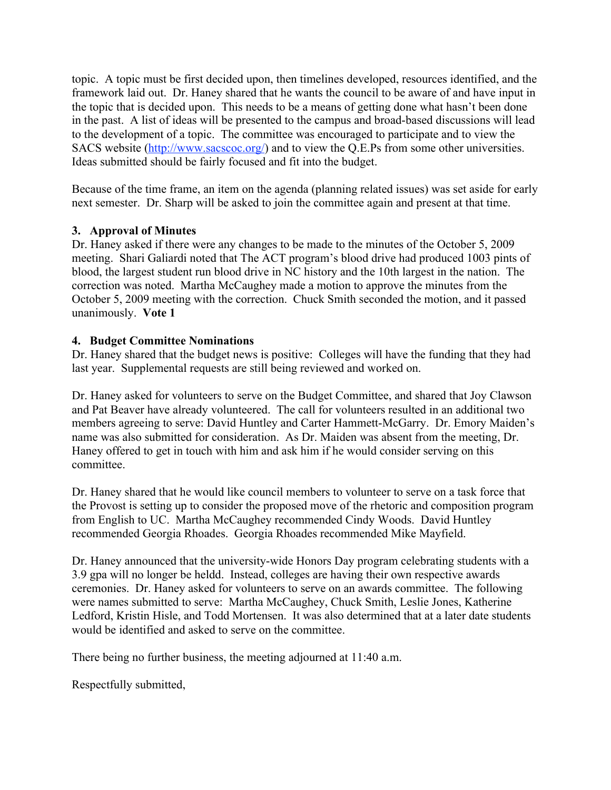topic. A topic must be first decided upon, then timelines developed, resources identified, and the framework laid out. Dr. Haney shared that he wants the council to be aware of and have input in the topic that is decided upon. This needs to be a means of getting done what hasn't been done in the past. A list of ideas will be presented to the campus and broad-based discussions will lead to the development of a topic. The committee was encouraged to participate and to view the SACS website (http://www.sacscoc.org/) and to view the Q.E.Ps from some other universities. Ideas submitted should be fairly focused and fit into the budget.

Because of the time frame, an item on the agenda (planning related issues) was set aside for early next semester. Dr. Sharp will be asked to join the committee again and present at that time.

## **3. Approval of Minutes**

Dr. Haney asked if there were any changes to be made to the minutes of the October 5, 2009 meeting. Shari Galiardi noted that The ACT program's blood drive had produced 1003 pints of blood, the largest student run blood drive in NC history and the 10th largest in the nation. The correction was noted. Martha McCaughey made a motion to approve the minutes from the October 5, 2009 meeting with the correction. Chuck Smith seconded the motion, and it passed unanimously. **Vote 1**

## **4. Budget Committee Nominations**

Dr. Haney shared that the budget news is positive: Colleges will have the funding that they had last year. Supplemental requests are still being reviewed and worked on.

Dr. Haney asked for volunteers to serve on the Budget Committee, and shared that Joy Clawson and Pat Beaver have already volunteered. The call for volunteers resulted in an additional two members agreeing to serve: David Huntley and Carter Hammett-McGarry. Dr. Emory Maiden's name was also submitted for consideration. As Dr. Maiden was absent from the meeting, Dr. Haney offered to get in touch with him and ask him if he would consider serving on this committee.

Dr. Haney shared that he would like council members to volunteer to serve on a task force that the Provost is setting up to consider the proposed move of the rhetoric and composition program from English to UC. Martha McCaughey recommended Cindy Woods. David Huntley recommended Georgia Rhoades. Georgia Rhoades recommended Mike Mayfield.

Dr. Haney announced that the university-wide Honors Day program celebrating students with a 3.9 gpa will no longer be heldd. Instead, colleges are having their own respective awards ceremonies. Dr. Haney asked for volunteers to serve on an awards committee. The following were names submitted to serve: Martha McCaughey, Chuck Smith, Leslie Jones, Katherine Ledford, Kristin Hisle, and Todd Mortensen. It was also determined that at a later date students would be identified and asked to serve on the committee.

There being no further business, the meeting adjourned at 11:40 a.m.

Respectfully submitted,